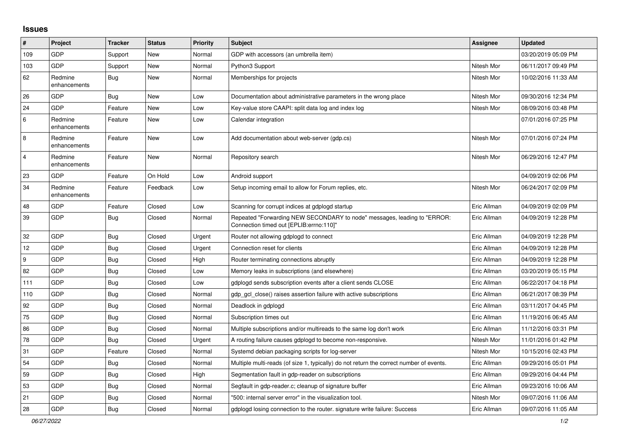## **Issues**

| #              | Project                 | <b>Tracker</b> | <b>Status</b> | <b>Priority</b> | <b>Subject</b>                                                                                                      | <b>Assignee</b> | <b>Updated</b>      |
|----------------|-------------------------|----------------|---------------|-----------------|---------------------------------------------------------------------------------------------------------------------|-----------------|---------------------|
| 109            | GDP                     | Support        | New           | Normal          | GDP with accessors (an umbrella item)                                                                               |                 | 03/20/2019 05:09 PM |
| 103            | <b>GDP</b>              | Support        | <b>New</b>    | Normal          | Python3 Support                                                                                                     | Nitesh Mor      | 06/11/2017 09:49 PM |
| 62             | Redmine<br>enhancements | <b>Bug</b>     | New           | Normal          | Memberships for projects                                                                                            | Nitesh Mor      | 10/02/2016 11:33 AM |
| 26             | GDP                     | Bug            | New           | Low             | Documentation about administrative parameters in the wrong place                                                    | Nitesh Mor      | 09/30/2016 12:34 PM |
| 24             | <b>GDP</b>              | Feature        | New           | Low             | Key-value store CAAPI: split data log and index log                                                                 | Nitesh Mor      | 08/09/2016 03:48 PM |
| 6              | Redmine<br>enhancements | Feature        | New           | Low             | Calendar integration                                                                                                |                 | 07/01/2016 07:25 PM |
| 8              | Redmine<br>enhancements | Feature        | New           | Low             | Add documentation about web-server (gdp.cs)                                                                         | Nitesh Mor      | 07/01/2016 07:24 PM |
| $\overline{4}$ | Redmine<br>enhancements | Feature        | New           | Normal          | Repository search                                                                                                   | Nitesh Mor      | 06/29/2016 12:47 PM |
| 23             | GDP                     | Feature        | On Hold       | Low             | Android support                                                                                                     |                 | 04/09/2019 02:06 PM |
| 34             | Redmine<br>enhancements | Feature        | Feedback      | Low             | Setup incoming email to allow for Forum replies, etc.                                                               | Nitesh Mor      | 06/24/2017 02:09 PM |
| 48             | GDP                     | Feature        | Closed        | Low             | Scanning for corrupt indices at gdplogd startup                                                                     | Eric Allman     | 04/09/2019 02:09 PM |
| 39             | <b>GDP</b>              | Bug            | Closed        | Normal          | Repeated "Forwarding NEW SECONDARY to node" messages, leading to "ERROR:<br>Connection timed out [EPLIB:errno:110]" | Eric Allman     | 04/09/2019 12:28 PM |
| 32             | GDP                     | <b>Bug</b>     | Closed        | Urgent          | Router not allowing gdplogd to connect                                                                              | Eric Allman     | 04/09/2019 12:28 PM |
| 12             | <b>GDP</b>              | <b>Bug</b>     | Closed        | Urgent          | Connection reset for clients                                                                                        | Eric Allman     | 04/09/2019 12:28 PM |
| 9              | <b>GDP</b>              | <b>Bug</b>     | Closed        | High            | Router terminating connections abruptly                                                                             | Eric Allman     | 04/09/2019 12:28 PM |
| 82             | <b>GDP</b>              | <b>Bug</b>     | Closed        | Low             | Memory leaks in subscriptions (and elsewhere)                                                                       | Eric Allman     | 03/20/2019 05:15 PM |
| 111            | <b>GDP</b>              | <b>Bug</b>     | Closed        | Low             | gdplogd sends subscription events after a client sends CLOSE                                                        | Eric Allman     | 06/22/2017 04:18 PM |
| 110            | <b>GDP</b>              | Bug            | Closed        | Normal          | gdp gcl close() raises assertion failure with active subscriptions                                                  | Eric Allman     | 06/21/2017 08:39 PM |
| 92             | <b>GDP</b>              | Bug            | Closed        | Normal          | Deadlock in gdplogd                                                                                                 | Eric Allman     | 03/11/2017 04:45 PM |
| 75             | <b>GDP</b>              | <b>Bug</b>     | Closed        | Normal          | Subscription times out                                                                                              | Eric Allman     | 11/19/2016 06:45 AM |
| 86             | <b>GDP</b>              | <b>Bug</b>     | Closed        | Normal          | Multiple subscriptions and/or multireads to the same log don't work                                                 | Eric Allman     | 11/12/2016 03:31 PM |
| 78             | <b>GDP</b>              | <b>Bug</b>     | Closed        | Urgent          | A routing failure causes gdplogd to become non-responsive.                                                          | Nitesh Mor      | 11/01/2016 01:42 PM |
| 31             | <b>GDP</b>              | Feature        | Closed        | Normal          | Systemd debian packaging scripts for log-server                                                                     | Nitesh Mor      | 10/15/2016 02:43 PM |
| 54             | <b>GDP</b>              | <b>Bug</b>     | Closed        | Normal          | Multiple multi-reads (of size 1, typically) do not return the correct number of events.                             | Eric Allman     | 09/29/2016 05:01 PM |
| 59             | GDP                     | <b>Bug</b>     | Closed        | High            | Segmentation fault in gdp-reader on subscriptions                                                                   | Eric Allman     | 09/29/2016 04:44 PM |
| 53             | GDP                     | <b>Bug</b>     | Closed        | Normal          | Segfault in gdp-reader.c; cleanup of signature buffer                                                               | Eric Allman     | 09/23/2016 10:06 AM |
| 21             | GDP                     | Bug            | Closed        | Normal          | "500: internal server error" in the visualization tool.                                                             | Nitesh Mor      | 09/07/2016 11:06 AM |
| 28             | GDP                     | <b>Bug</b>     | Closed        | Normal          | gdplogd losing connection to the router, signature write failure: Success                                           | Eric Allman     | 09/07/2016 11:05 AM |